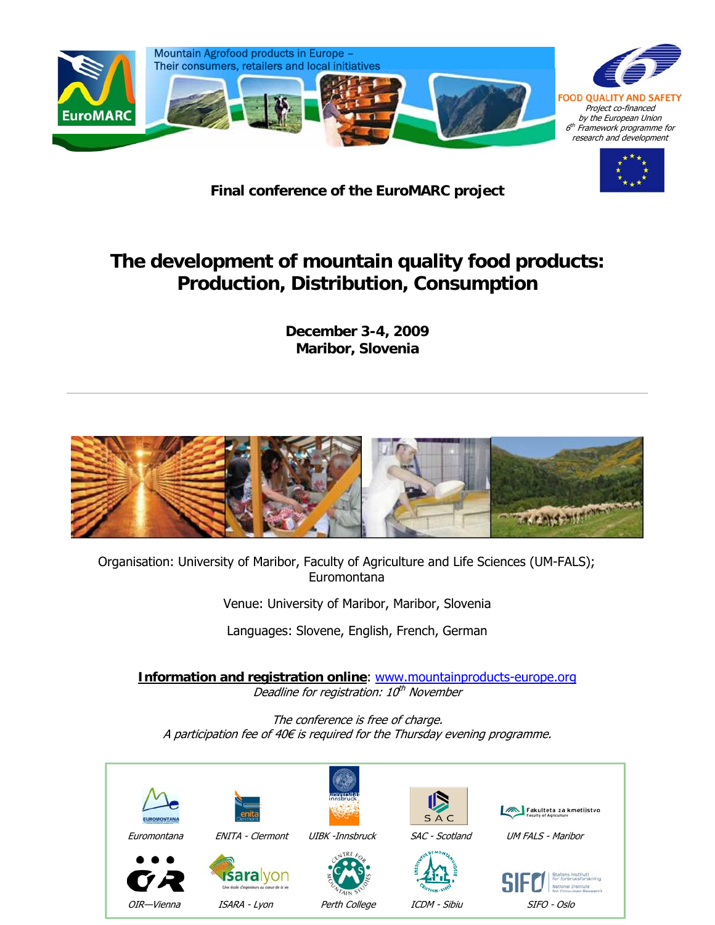



**Final conference of the EuroMARC project** 

## **The development of mountain quality food products: Production, Distribution, Consumption**

**December 3-4, 2009 Maribor, Slovenia** 



Organisation: University of Maribor, Faculty of Agriculture and Life Sciences (UM-FALS); Euromontana

Venue: University of Maribor, Maribor, Slovenia

Languages: Slovene, English, French, German

**Information and registration online**: [www.mountainproducts-europe.org](http://www.mountainproducts-europe.org/) Deadline for registration: 10<sup>th</sup> November

The conference is free of charge. A participation fee of 40€ is required for the Thursday evening programme.

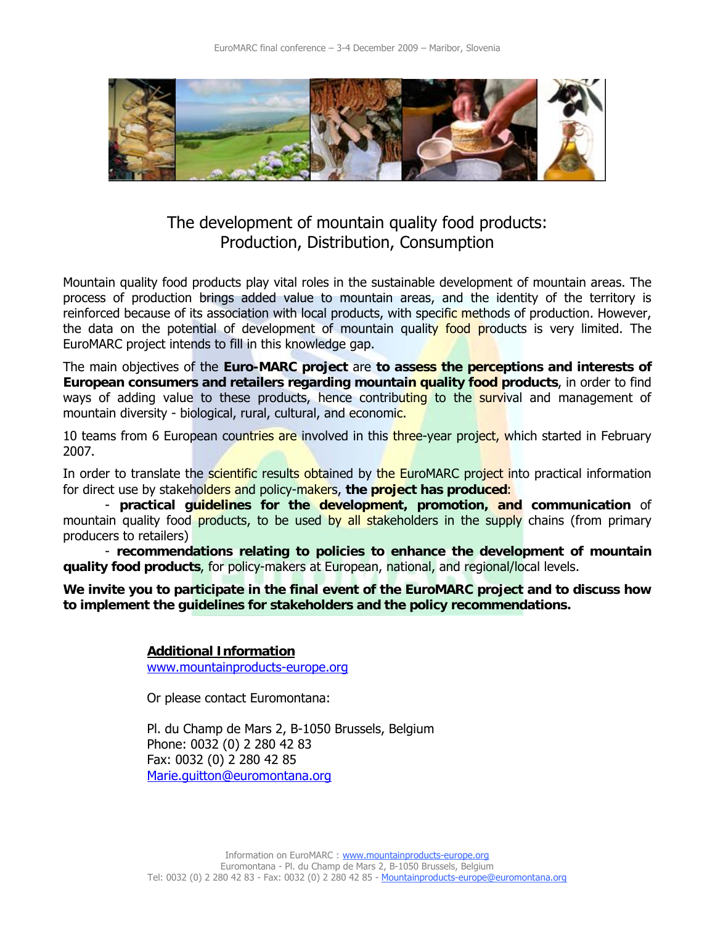

## The development of mountain quality food products: Production, Distribution, Consumption

Mountain quality food products play vital roles in the sustainable development of mountain areas. The process of production brings added value to mountain areas, and the identity of the territory is reinforced because of its association with local products, with specific methods of production. However, the data on the potential of development of mountain quality food products is very limited. The EuroMARC project intends to fill in this knowledge gap.

The main objectives of the **Euro-MARC project** are **to assess the perceptions and interests of European consumers and retailers regarding mountain quality food products**, in order to find ways of adding value to these products, hence contributing to the survival and management of mountain diversity - biological, rural, cultural, and economic.

10 teams from 6 European countries are involved in this three-year project, which started in February 2007.

In order to translate the scientific results obtained by the EuroMARC project into practical information for direct use by stakeholders and policy-makers, **the project has produced**:

- **practical guidelines for the development, promotion, and communication** of mountain quality food products, to be used by all stakeholders in the supply chains (from primary producers to retailers)

- **recommendations relating to policies to enhance the development of mountain quality food products**, for policy-makers at European, national, and regional/local levels.

**We invite you to participate in the final event of the EuroMARC project and to discuss how to implement the guidelines for stakeholders and the policy recommendations.** 

> **Additional Information** [www.mountainproducts-europe.org](http://www.mountainproducts-europe.org/)

Or please contact Euromontana:

Pl. du Champ de Mars 2, B-1050 Brussels, Belgium Phone: 0032 (0) 2 280 42 83 Fax: 0032 (0) 2 280 42 85 [Marie.guitton@euromontana.org](mailto:Marie.guitton@euromontana.org)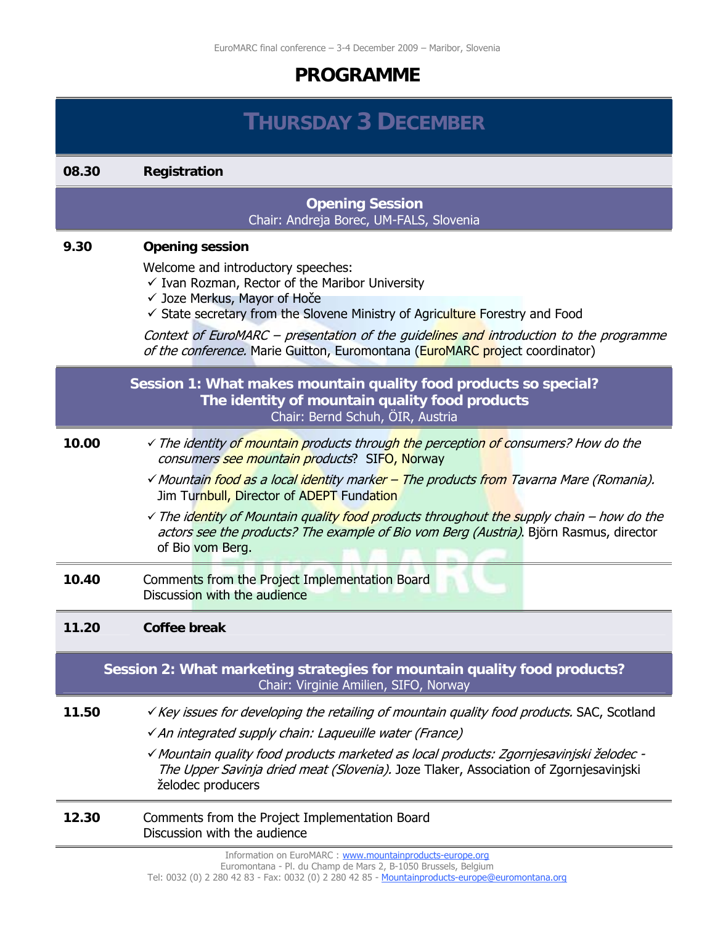## **PROGRAMME**

|                                                                                                                   | <b>THURSDAY 3 DECEMBER</b>                                                                                                                                                                                                                                                                                                                                                                                                                                                             |  |
|-------------------------------------------------------------------------------------------------------------------|----------------------------------------------------------------------------------------------------------------------------------------------------------------------------------------------------------------------------------------------------------------------------------------------------------------------------------------------------------------------------------------------------------------------------------------------------------------------------------------|--|
| 08.30                                                                                                             | Registration                                                                                                                                                                                                                                                                                                                                                                                                                                                                           |  |
|                                                                                                                   | <b>Opening Session</b><br>Chair: Andreja Borec, UM-FALS, Slovenia                                                                                                                                                                                                                                                                                                                                                                                                                      |  |
| 9.30                                                                                                              | <b>Opening session</b><br>Welcome and introductory speeches:<br>$\checkmark$ Ivan Rozman, Rector of the Maribor University<br>√ Joze Merkus, Mayor of Hoče<br>$\checkmark$ State secretary from the Slovene Ministry of Agriculture Forestry and Food<br>Context of EuroMARC - presentation of the guidelines and introduction to the programme<br>of the conference. Marie Guitton, Euromontana (EuroMARC project coordinator)                                                        |  |
|                                                                                                                   | Session 1: What makes mountain quality food products so special?<br>The identity of mountain quality food products<br>Chair: Bernd Schuh, ÖIR, Austria                                                                                                                                                                                                                                                                                                                                 |  |
| 10.00                                                                                                             | √ The identity of mountain products through the perception of consumers? How do the<br>consumers see mountain products? SIFO, Norway<br>√ Mountain food as a local identity marker – The products from Tavarna Mare (Romania).<br>Jim Turnbull, Director of ADEPT Fundation<br>√ The identity of Mountain quality food products throughout the supply chain – how do the<br>actors see the products? The example of Bio vom Berg (Austria). Björn Rasmus, director<br>of Bio vom Berg. |  |
| 10.40                                                                                                             | Comments from the Project Implementation Board<br>Discussion with the audience                                                                                                                                                                                                                                                                                                                                                                                                         |  |
| 11.20                                                                                                             | <b>Coffee break</b>                                                                                                                                                                                                                                                                                                                                                                                                                                                                    |  |
| Session 2: What marketing strategies for mountain quality food products?<br>Chair: Virginie Amilien, SIFO, Norway |                                                                                                                                                                                                                                                                                                                                                                                                                                                                                        |  |
| 11.50                                                                                                             | √ Key issues for developing the retailing of mountain quality food products. SAC, Scotland<br>√ An integrated supply chain: Laqueuille water (France)<br>√ Mountain quality food products marketed as local products: Zgornjesavinjski želodec -<br>The Upper Savinja dried meat (Slovenia). Joze Tlaker, Association of Zgornjesavinjski<br>želodec producers                                                                                                                         |  |
| 12.30                                                                                                             | Comments from the Project Implementation Board<br>Discussion with the audience<br>Information on EuroMARC : www.mountainproducts-europe.org                                                                                                                                                                                                                                                                                                                                            |  |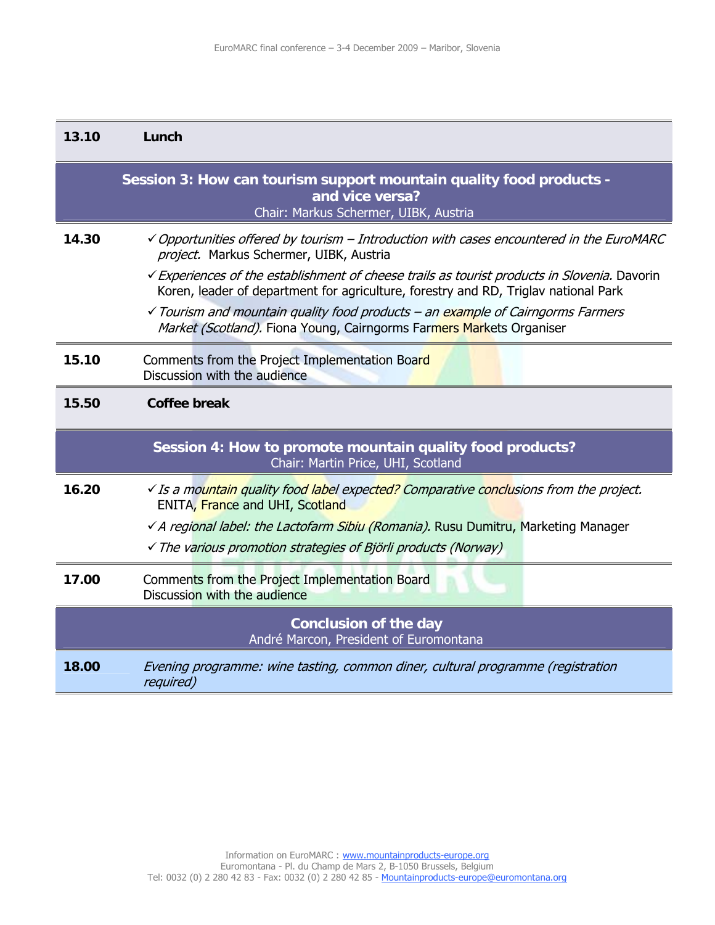| 13.10 | Lunch                                                                                                                                                                                                                                                                                        |
|-------|----------------------------------------------------------------------------------------------------------------------------------------------------------------------------------------------------------------------------------------------------------------------------------------------|
|       | Session 3: How can tourism support mountain quality food products -<br>and vice versa?<br>Chair: Markus Schermer, UIBK, Austria                                                                                                                                                              |
| 14.30 | $\checkmark$ Opportunities offered by tourism - Introduction with cases encountered in the EuroMARC<br>project. Markus Schermer, UIBK, Austria                                                                                                                                               |
|       | √ Experiences of the establishment of cheese trails as tourist products in Slovenia. Davorin<br>Koren, leader of department for agriculture, forestry and RD, Triglav national Park                                                                                                          |
|       | √ Tourism and mountain quality food products – an example of Cairngorms Farmers<br>Market (Scotland). Fiona Young, Cairngorms Farmers Markets Organiser                                                                                                                                      |
| 15.10 | Comments from the Project Implementation Board<br>Discussion with the audience                                                                                                                                                                                                               |
| 15.50 | <b>Coffee break</b>                                                                                                                                                                                                                                                                          |
|       | Session 4: How to promote mountain quality food products?<br>Chair: Martin Price, UHI, Scotland                                                                                                                                                                                              |
| 16.20 | √ Is a mountain quality food label expected? Comparative conclusions from the project.<br>ENITA, France and UHI, Scotland<br>✓ A regional label: the Lactofarm Sibiu (Romania). Rusu Dumitru, Marketing Manager<br>$\checkmark$ The various promotion strategies of Björli products (Norway) |
| 17.00 | Comments from the Project Implementation Board<br>Discussion with the audience                                                                                                                                                                                                               |
|       | <b>Conclusion of the day</b><br>André Marcon, President of Euromontana                                                                                                                                                                                                                       |
| 18.00 | Evening programme: wine tasting, common diner, cultural programme (registration<br>required)                                                                                                                                                                                                 |